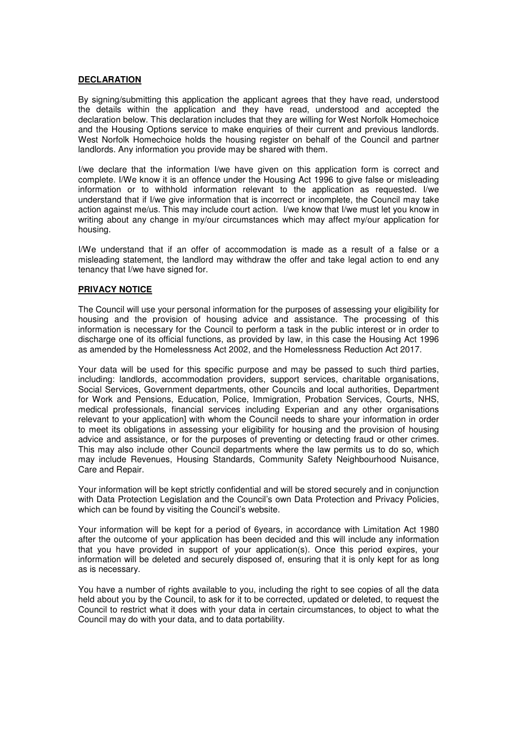## **DECLARATION**

By signing/submitting this application the applicant agrees that they have read, understood the details within the application and they have read, understood and accepted the declaration below. This declaration includes that they are willing for West Norfolk Homechoice and the Housing Options service to make enquiries of their current and previous landlords. West Norfolk Homechoice holds the housing register on behalf of the Council and partner landlords. Any information you provide may be shared with them.

I/we declare that the information I/we have given on this application form is correct and complete. I/We know it is an offence under the Housing Act 1996 to give false or misleading information or to withhold information relevant to the application as requested. I/we understand that if I/we give information that is incorrect or incomplete, the Council may take action against me/us. This may include court action. I/we know that I/we must let you know in writing about any change in my/our circumstances which may affect my/our application for housing.

I/We understand that if an offer of accommodation is made as a result of a false or a misleading statement, the landlord may withdraw the offer and take legal action to end any tenancy that I/we have signed for.

## **PRIVACY NOTICE**

The Council will use your personal information for the purposes of assessing your eligibility for housing and the provision of housing advice and assistance. The processing of this information is necessary for the Council to perform a task in the public interest or in order to discharge one of its official functions, as provided by law, in this case the Housing Act 1996 as amended by the Homelessness Act 2002, and the Homelessness Reduction Act 2017.

Your data will be used for this specific purpose and may be passed to such third parties, including: landlords, accommodation providers, support services, charitable organisations, Social Services, Government departments, other Councils and local authorities, Department for Work and Pensions, Education, Police, Immigration, Probation Services, Courts, NHS, medical professionals, financial services including Experian and any other organisations relevant to your application] with whom the Council needs to share your information in order to meet its obligations in assessing your eligibility for housing and the provision of housing advice and assistance, or for the purposes of preventing or detecting fraud or other crimes. This may also include other Council departments where the law permits us to do so, which may include Revenues, Housing Standards, Community Safety Neighbourhood Nuisance, Care and Repair.

Your information will be kept strictly confidential and will be stored securely and in conjunction with Data Protection Legislation and the Council's own Data Protection and Privacy Policies, which can be found by visiting the Council's website.

Your information will be kept for a period of 6years, in accordance with Limitation Act 1980 after the outcome of your application has been decided and this will include any information that you have provided in support of your application(s). Once this period expires, your information will be deleted and securely disposed of, ensuring that it is only kept for as long as is necessary.

You have a number of rights available to you, including the right to see copies of all the data held about you by the Council, to ask for it to be corrected, updated or deleted, to request the Council to restrict what it does with your data in certain circumstances, to object to what the Council may do with your data, and to data portability.